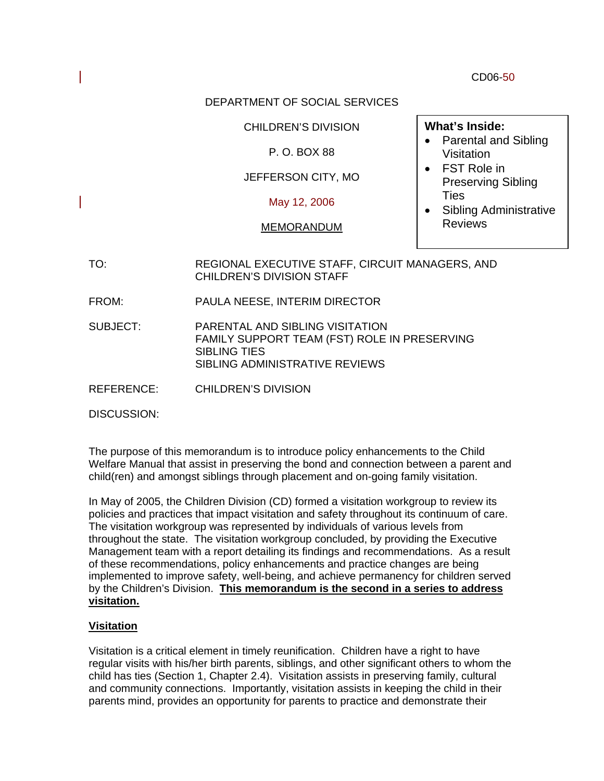CD06-50

## DEPARTMENT OF SOCIAL SERVICES

## CHILDREN'S DIVISION

## P. O. BOX 88

# JEFFERSON CITY, MO

## May 12, 2006

## MEMORANDUM

## **What's Inside:**

- Parental and Sibling Visitation
- FST Role in Preserving Sibling **Ties**
- Sibling Administrative Reviews
- TO: REGIONAL EXECUTIVE STAFF, CIRCUIT MANAGERS, AND CHILDREN'S DIVISION STAFF
- FROM: PAULA NEESE, INTERIM DIRECTOR
- SUBJECT: PARENTAL AND SIBLING VISITATION FAMILY SUPPORT TEAM (FST) ROLE IN PRESERVING SIBLING TIES SIBLING ADMINISTRATIVE REVIEWS
- REFERENCE: CHILDREN'S DIVISION

DISCUSSION:

The purpose of this memorandum is to introduce policy enhancements to the Child Welfare Manual that assist in preserving the bond and connection between a parent and child(ren) and amongst siblings through placement and on-going family visitation.

In May of 2005, the Children Division (CD) formed a visitation workgroup to review its policies and practices that impact visitation and safety throughout its continuum of care. The visitation workgroup was represented by individuals of various levels from throughout the state. The visitation workgroup concluded, by providing the Executive Management team with a report detailing its findings and recommendations. As a result of these recommendations, policy enhancements and practice changes are being implemented to improve safety, well-being, and achieve permanency for children served by the Children's Division. **This memorandum is the second in a series to address visitation.** 

# **Visitation**

Visitation is a critical element in timely reunification. Children have a right to have regular visits with his/her birth parents, siblings, and other significant others to whom the child has ties (Section 1, Chapter 2.4). Visitation assists in preserving family, cultural and community connections. Importantly, visitation assists in keeping the child in their parents mind, provides an opportunity for parents to practice and demonstrate their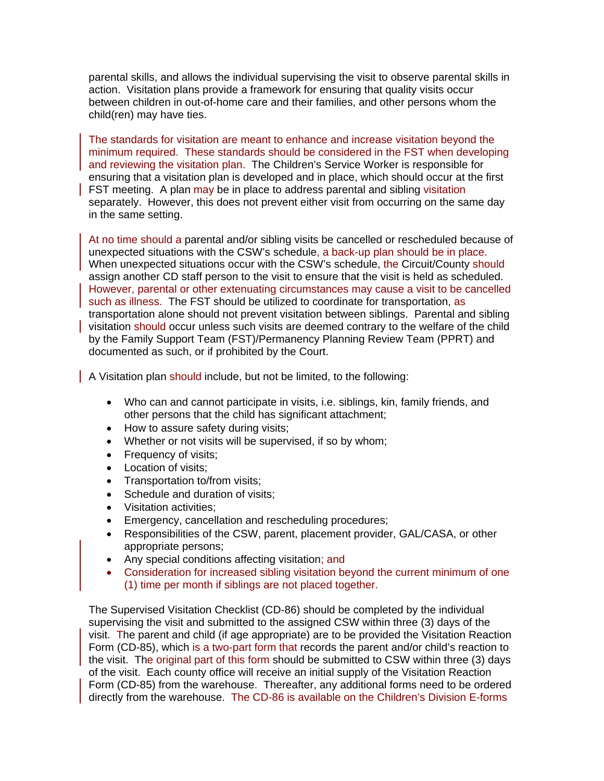parental skills, and allows the individual supervising the visit to observe parental skills in action. Visitation plans provide a framework for ensuring that quality visits occur between children in out-of-home care and their families, and other persons whom the child(ren) may have ties.

The standards for visitation are meant to enhance and increase visitation beyond the minimum required. These standards should be considered in the FST when developing and reviewing the visitation plan. The Children's Service Worker is responsible for ensuring that a visitation plan is developed and in place, which should occur at the first FST meeting. A plan may be in place to address parental and sibling visitation separately. However, this does not prevent either visit from occurring on the same day in the same setting.

At no time should a parental and/or sibling visits be cancelled or rescheduled because of unexpected situations with the CSW's schedule, a back-up plan should be in place. When unexpected situations occur with the CSW's schedule, the Circuit/County should assign another CD staff person to the visit to ensure that the visit is held as scheduled. However, parental or other extenuating circumstances may cause a visit to be cancelled such as illness. The FST should be utilized to coordinate for transportation, as transportation alone should not prevent visitation between siblings. Parental and sibling visitation should occur unless such visits are deemed contrary to the welfare of the child by the Family Support Team (FST)/Permanency Planning Review Team (PPRT) and documented as such, or if prohibited by the Court.

A Visitation plan should include, but not be limited, to the following:

- Who can and cannot participate in visits, i.e. siblings, kin, family friends, and other persons that the child has significant attachment;
- How to assure safety during visits;
- Whether or not visits will be supervised, if so by whom;
- Frequency of visits;
- Location of visits;
- Transportation to/from visits;
- Schedule and duration of visits;
- Visitation activities:
- Emergency, cancellation and rescheduling procedures;
- Responsibilities of the CSW, parent, placement provider, GAL/CASA, or other appropriate persons;
- Any special conditions affecting visitation; and
- Consideration for increased sibling visitation beyond the current minimum of one (1) time per month if siblings are not placed together.

The Supervised Visitation Checklist (CD-86) should be completed by the individual supervising the visit and submitted to the assigned CSW within three (3) days of the visit. The parent and child (if age appropriate) are to be provided the Visitation Reaction Form (CD-85), which is a two-part form that records the parent and/or child's reaction to the visit. The original part of this form should be submitted to CSW within three (3) days of the visit. Each county office will receive an initial supply of the Visitation Reaction Form (CD-85) from the warehouse. Thereafter, any additional forms need to be ordered directly from the warehouse. The CD-86 is available on the Children's Division E-forms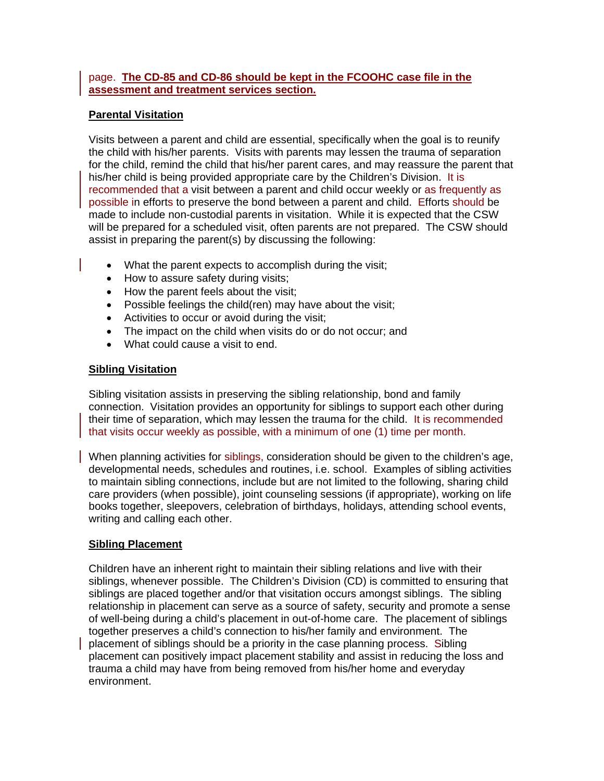## page. **The CD-85 and CD-86 should be kept in the FCOOHC case file in the assessment and treatment services section.**

## **Parental Visitation**

Visits between a parent and child are essential, specifically when the goal is to reunify the child with his/her parents. Visits with parents may lessen the trauma of separation for the child, remind the child that his/her parent cares, and may reassure the parent that his/her child is being provided appropriate care by the Children's Division. It is recommended that a visit between a parent and child occur weekly or as frequently as possible in efforts to preserve the bond between a parent and child. Efforts should be made to include non-custodial parents in visitation. While it is expected that the CSW will be prepared for a scheduled visit, often parents are not prepared. The CSW should assist in preparing the parent(s) by discussing the following:

- What the parent expects to accomplish during the visit;
- How to assure safety during visits;
- How the parent feels about the visit;
- Possible feelings the child(ren) may have about the visit;
- Activities to occur or avoid during the visit;
- The impact on the child when visits do or do not occur; and
- What could cause a visit to end.

## **Sibling Visitation**

Sibling visitation assists in preserving the sibling relationship, bond and family connection. Visitation provides an opportunity for siblings to support each other during their time of separation, which may lessen the trauma for the child. It is recommended that visits occur weekly as possible, with a minimum of one (1) time per month.

When planning activities for siblings, consideration should be given to the children's age, developmental needs, schedules and routines, i.e. school. Examples of sibling activities to maintain sibling connections, include but are not limited to the following, sharing child care providers (when possible), joint counseling sessions (if appropriate), working on life books together, sleepovers, celebration of birthdays, holidays, attending school events, writing and calling each other.

## **Sibling Placement**

Children have an inherent right to maintain their sibling relations and live with their siblings, whenever possible. The Children's Division (CD) is committed to ensuring that siblings are placed together and/or that visitation occurs amongst siblings. The sibling relationship in placement can serve as a source of safety, security and promote a sense of well-being during a child's placement in out-of-home care. The placement of siblings together preserves a child's connection to his/her family and environment. The placement of siblings should be a priority in the case planning process. Sibling placement can positively impact placement stability and assist in reducing the loss and trauma a child may have from being removed from his/her home and everyday environment.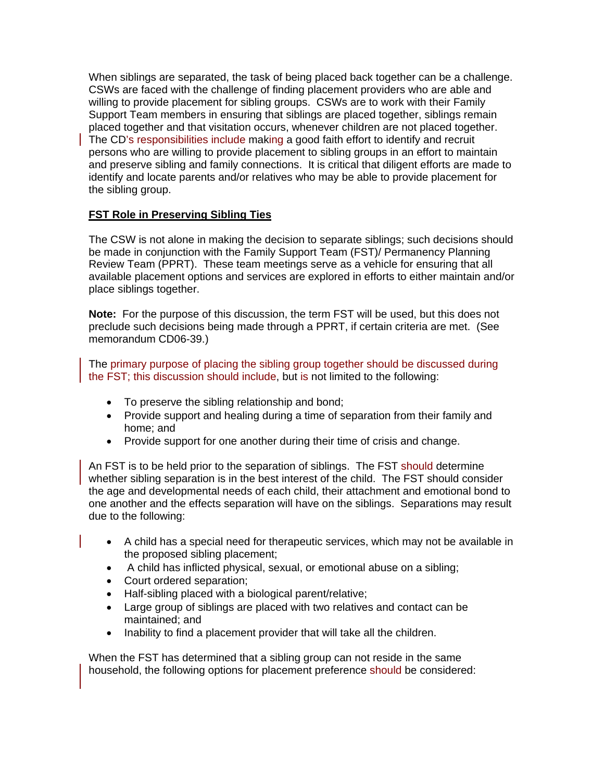When siblings are separated, the task of being placed back together can be a challenge. CSWs are faced with the challenge of finding placement providers who are able and willing to provide placement for sibling groups. CSWs are to work with their Family Support Team members in ensuring that siblings are placed together, siblings remain placed together and that visitation occurs, whenever children are not placed together. The CD's responsibilities include making a good faith effort to identify and recruit persons who are willing to provide placement to sibling groups in an effort to maintain and preserve sibling and family connections. It is critical that diligent efforts are made to identify and locate parents and/or relatives who may be able to provide placement for the sibling group.

## **FST Role in Preserving Sibling Ties**

The CSW is not alone in making the decision to separate siblings; such decisions should be made in conjunction with the Family Support Team (FST)/ Permanency Planning Review Team (PPRT). These team meetings serve as a vehicle for ensuring that all available placement options and services are explored in efforts to either maintain and/or place siblings together.

**Note:** For the purpose of this discussion, the term FST will be used, but this does not preclude such decisions being made through a PPRT, if certain criteria are met. (See memorandum CD06-39.)

The primary purpose of placing the sibling group together should be discussed during the FST; this discussion should include, but is not limited to the following:

- To preserve the sibling relationship and bond;
- Provide support and healing during a time of separation from their family and home; and
- Provide support for one another during their time of crisis and change.

An FST is to be held prior to the separation of siblings. The FST should determine whether sibling separation is in the best interest of the child. The FST should consider the age and developmental needs of each child, their attachment and emotional bond to one another and the effects separation will have on the siblings.Separations may result due to the following:

- A child has a special need for therapeutic services, which may not be available in the proposed sibling placement;
- A child has inflicted physical, sexual, or emotional abuse on a sibling;
- Court ordered separation;
- Half-sibling placed with a biological parent/relative;
- Large group of siblings are placed with two relatives and contact can be maintained; and
- Inability to find a placement provider that will take all the children.

When the FST has determined that a sibling group can not reside in the same household, the following options for placement preference should be considered: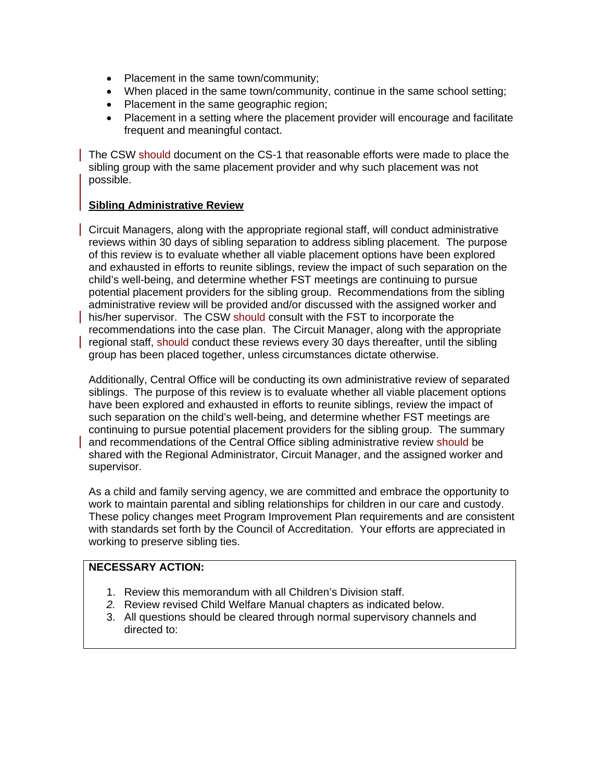- Placement in the same town/community;
- When placed in the same town/community, continue in the same school setting;
- Placement in the same geographic region;
- Placement in a setting where the placement provider will encourage and facilitate frequent and meaningful contact.

The CSW should document on the CS-1 that reasonable efforts were made to place the sibling group with the same placement provider and why such placement was not possible.

#### **Sibling Administrative Review**

Circuit Managers, along with the appropriate regional staff, will conduct administrative reviews within 30 days of sibling separation to address sibling placement. The purpose of this review is to evaluate whether all viable placement options have been explored and exhausted in efforts to reunite siblings, review the impact of such separation on the child's well-being, and determine whether FST meetings are continuing to pursue potential placement providers for the sibling group. Recommendations from the sibling administrative review will be provided and/or discussed with the assigned worker and his/her supervisor. The CSW should consult with the FST to incorporate the recommendations into the case plan. The Circuit Manager, along with the appropriate regional staff, should conduct these reviews every 30 days thereafter, until the sibling group has been placed together, unless circumstances dictate otherwise.

Additionally, Central Office will be conducting its own administrative review of separated siblings. The purpose of this review is to evaluate whether all viable placement options have been explored and exhausted in efforts to reunite siblings, review the impact of such separation on the child's well-being, and determine whether FST meetings are continuing to pursue potential placement providers for the sibling group. The summary and recommendations of the Central Office sibling administrative review should be shared with the Regional Administrator, Circuit Manager, and the assigned worker and supervisor.

As a child and family serving agency, we are committed and embrace the opportunity to work to maintain parental and sibling relationships for children in our care and custody. These policy changes meet Program Improvement Plan requirements and are consistent with standards set forth by the Council of Accreditation. Your efforts are appreciated in working to preserve sibling ties.

# **NECESSARY ACTION:**

- 1. Review this memorandum with all Children's Division staff.
- *2.* Review revised Child Welfare Manual chapters as indicated below.
- 3. All questions should be cleared through normal supervisory channels and directed to: